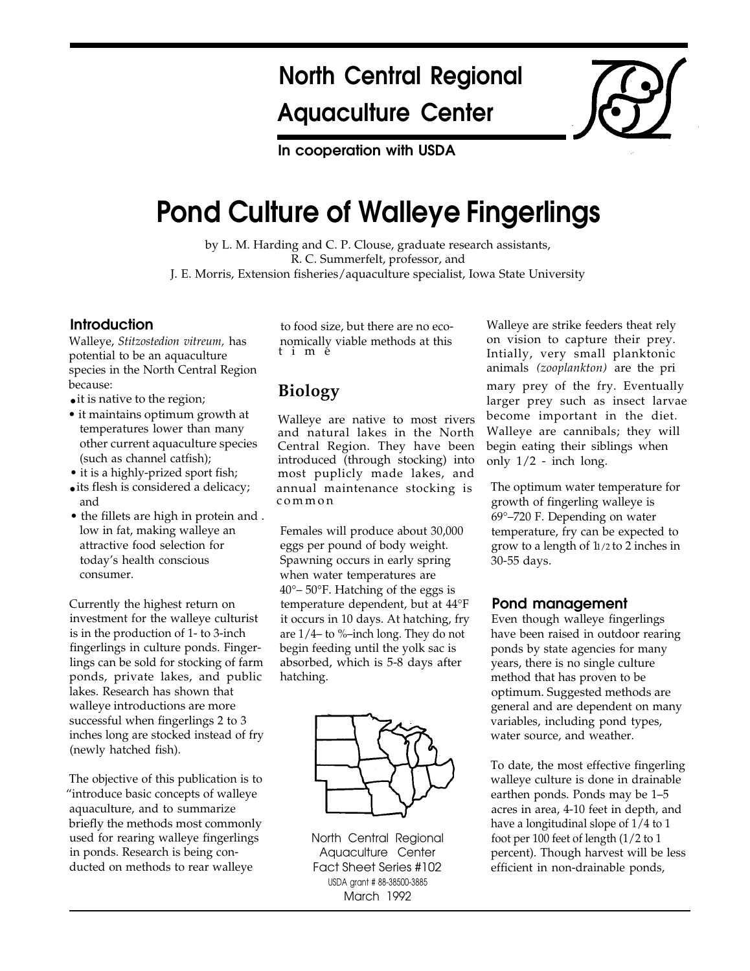# North Central Regional Aquaculture Center

In cooperation with USDA

# Pond Culture of Walleye Fingerlings

by L. M. Harding and C. P. Clouse, graduate research assistants, R. C. Summerfelt, professor, and J. E. Morris, Extension fisheries/aquaculture specialist, Iowa State University

#### **Introduction**

Walleye, *Stitzostedion vitreum,* has potential to be an aquaculture species in the North Central Region because:

- it is native to the region;
- it maintains optimum growth at temperatures lower than many other current aquaculture species (such as channel catfish);
- it is a highly-prized sport fish;
- its flesh is considered a delicacy; and
- the fillets are high in protein and . low in fat, making walleye an attractive food selection for today's health conscious consumer.

Currently the highest return on investment for the walleye culturist is in the production of 1- to 3-inch fingerlings in culture ponds. Fingerlings can be sold for stocking of farm ponds, private lakes, and public lakes. Research has shown that walleye introductions are more successful when fingerlings 2 to 3 inches long are stocked instead of fry (newly hatched fish).

The objective of this publication is to "introduce basic concepts of walleye aquaculture, and to summarize briefly the methods most commonly used for rearing walleye fingerlings in ponds. Research is being conducted on methods to rear walleye

tim e to food size, but there are no economically viable methods at this

# **Biology**

Walleye are native to most rivers and natural lakes in the North Central Region. They have been introduced (through stocking) into most puplicly made lakes, and annual maintenance stocking is commo n

Females will produce about 30,000 eggs per pound of body weight. Spawning occurs in early spring when water temperatures are 40°– 50°F. Hatching of the eggs is temperature dependent, but at 44°F it occurs in 10 days. At hatching, fry are 1/4– to %–inch long. They do not begin feeding until the yolk sac is absorbed, which is 5-8 days after hatching.



North Central Regional Aquaculture Center Fact Sheet Series #102 USDA grant # 88-38500-3885 March 1992

Walleye are strike feeders theat rely on vision to capture their prey. Intially, very small planktonic animals *(zooplankton)* are the pri mary prey of the fry. Eventually larger prey such as insect larvae become important in the diet. Walleye are cannibals; they will begin eating their siblings when only 1/2 - inch long.

The optimum water temperature for growth of fingerling walleye is 69°–720 F. Depending on water temperature, fry can be expected to grow to a length of 11/2 to 2 inches in 30-55 days.

# Pond management

Even though walleye fingerlings have been raised in outdoor rearing ponds by state agencies for many years, there is no single culture method that has proven to be optimum. Suggested methods are general and are dependent on many variables, including pond types, water source, and weather.

To date, the most effective fingerling walleye culture is done in drainable earthen ponds. Ponds may be 1–5 acres in area, 4-10 feet in depth, and have a longitudinal slope of 1/4 to 1 foot per 100 feet of length (1/2 to 1 percent). Though harvest will be less efficient in non-drainable ponds,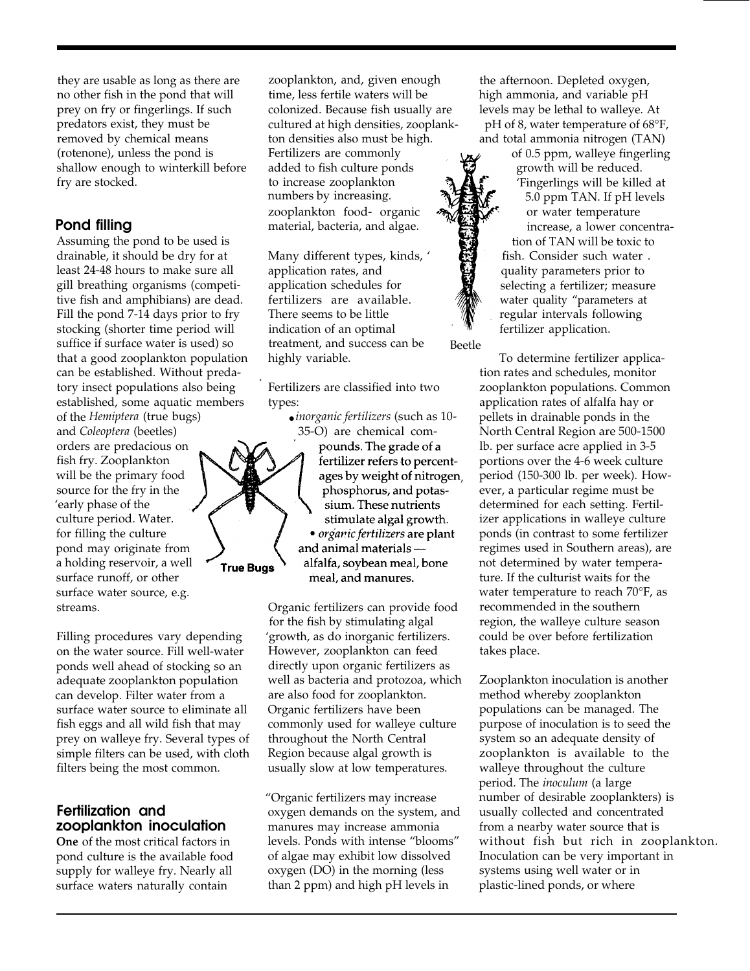they are usable as long as there are no other fish in the pond that will prey on fry or fingerlings. If such predators exist, they must be removed by chemical means (rotenone), unless the pond is shallow enough to winterkill before fry are stocked.

# Pond filling

Assuming the pond to be used is drainable, it should be dry for at least 24-48 hours to make sure all gill breathing organisms (competitive fish and amphibians) are dead. Fill the pond 7-14 days prior to fry stocking (shorter time period will suffice if surface water is used) so that a good zooplankton population can be established. Without predatory insect populations also being established, some aquatic members of the *Hemiptera* (true bugs)

and *Coleoptera* (beetles) orders are predacious on fish fry. Zooplankton source for the fry in the 'early phase of the culture period. Water. for filling the culture pond may originate from a holding reservoir, a well surface runoff, or other surface water source, e.g.

Filling procedures vary depending on the water source. Fill well-water ponds well ahead of stocking so an adequate zooplankton population can develop. Filter water from a surface water source to eliminate all fish eggs and all wild fish that may prey on walleye fry. Several types of simple filters can be used, with cloth filters being the most common.

#### Fertilization and zooplankton inoculation

**One** of the most critical factors in pond culture is the available food supply for walleye fry. Nearly all surface waters naturally contain

zooplankton, and, given enough the afternoon. Depleted oxygen, time, less fertile waters will be high ammonia, and variable pH colonized. Because fish usually are levels may be lethal to walleye. At ton densities also must be high. and total ammonia nitrogen (TAN) Fertilizers are commonly  $\mathbf{r}$  of 0.5 ppm, walleye fingerling added to fish culture ponds  $\Box$  growth will be reduced. to increase zooplankton  $\mathcal{A}$   $\mathcal{A}$   $\mathcal{C}$  'Fingerlings will be killed at numbers by increasing.  $\mathcal{H}$   $\mathcal{H}$   $\mathcal{L}$  5.0 ppm TAN. If pH levels zooplankton food- organic  $\mathcal{W}$  or water temperature material, bacteria, and algae. increase, a lower concentra-

application rates, and  $\Box$  quality parameters prior to application schedules for  $\mathbf{S}$  selecting a fertilizer; measure fertilizers are available. water quality "parameters at There seems to be little  $\mathbb{Z}$  regular intervals following indication of an optimal  $\mathbb{R}$  fertilizer application. treatment, and success can be Beetle highly variable.

Fertilizers are classified into two types:

● *inorganic fertilizers* (such as 10-

35-O) are chemical compounds. The grade of a fertilizer refers to percentwill be the primary food  $\sqrt{2}$  , ages by weight of nitrogen. phosphorus, and potassium. These nutrients stimulate algal growth. • *organic fertilizers* are plant and animal materials alfalfa, soybean meal, bone meal, and manures.

streams. Organic fertilizers can provide food for the fish by stimulating algal 'growth, as do inorganic fertilizers. However, zooplankton can feed directly upon organic fertilizers as well as bacteria and protozoa, which are also food for zooplankton. Organic fertilizers have been commonly used for walleye culture throughout the North Central Region because algal growth is usually slow at low temperatures.

> "Organic fertilizers may increase oxygen demands on the system, and manures may increase ammonia levels. Ponds with intense "blooms" of algae may exhibit low dissolved oxygen (DO) in the morning (less than 2 ppm) and high pH levels in

cultured at high densities, zooplank-<br>pH of 8, water temperature of 68°F,

tion of TAN will be toxic to Many different types, kinds, ' **for the such states** fish. Consider such water .

To determine fertilizer application rates and schedules, monitor zooplankton populations. Common application rates of alfalfa hay or pellets in drainable ponds in the North Central Region are 500-1500 lb. per surface acre applied in 3-5 portions over the 4-6 week culture period (150-300 lb. per week). However, a particular regime must be determined for each setting. Fertilizer applications in walleye culture ponds (in contrast to some fertilizer regimes used in Southern areas), are not determined by water temperature. If the culturist waits for the water temperature to reach 70°F, as recommended in the southern region, the walleye culture season could be over before fertilization takes place.

Zooplankton inoculation is another method whereby zooplankton populations can be managed. The purpose of inoculation is to seed the system so an adequate density of zooplankton is available to the walleye throughout the culture period. The *inoculum* (a large number of desirable zooplankters) is usually collected and concentrated from a nearby water source that is without fish but rich in zooplankton. Inoculation can be very important in systems using well water or in plastic-lined ponds, or where



.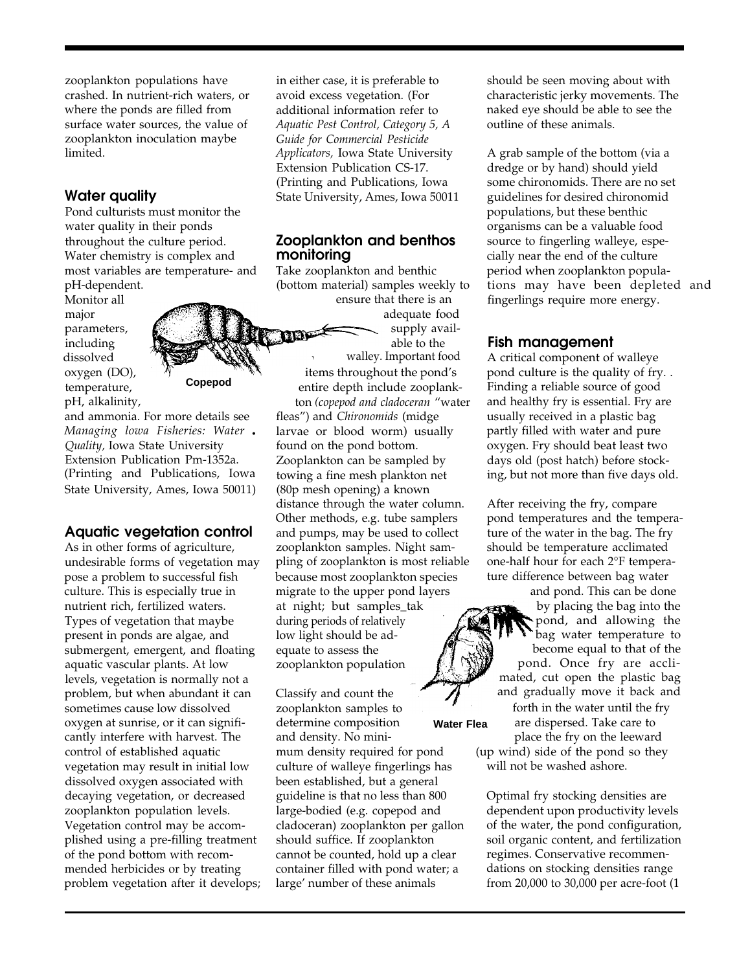zooplankton populations have crashed. In nutrient-rich waters, or where the ponds are filled from surface water sources, the value of zooplankton inoculation maybe limited.

# Water quality

Pond culturists must monitor the water quality in their ponds throughout the culture period. Water chemistry is complex and most variables are temperature- and pH-dependent.

pH, alkalinity, Monitor all major including **the contract of the service of the service of the service of the service of the service of the service of the service of the service of the service of the service of the service of the service of the service of** dissolved oxygen (DO), temperature, **Copepod**



and ammonia. For more details see *Managing lowa Fisheries: Water • Quality,* Iowa State University Extension Publication Pm-1352a. (Printing and Publications, Iowa State University, Ames, Iowa 50011)

#### Aquatic vegetation control

As in other forms of agriculture, undesirable forms of vegetation may pose a problem to successful fish culture. This is especially true in nutrient rich, fertilized waters. Types of vegetation that maybe present in ponds are algae, and submergent, emergent, and floating aquatic vascular plants. At low levels, vegetation is normally not a problem, but when abundant it can sometimes cause low dissolved oxygen at sunrise, or it can significantly interfere with harvest. The control of established aquatic vegetation may result in initial low dissolved oxygen associated with decaying vegetation, or decreased zooplankton population levels. Vegetation control may be accomplished using a pre-filling treatment of the pond bottom with recommended herbicides or by treating problem vegetation after it develops;

in either case, it is preferable to avoid excess vegetation. (For additional information refer to *Aquatic Pest Control, Category 5, A Guide for Commercial Pesticide Applicators,* Iowa State University Extension Publication CS-17. (Printing and Publications, Iowa State University, Ames, Iowa 50011

#### Zooplankton and benthos monitoring

Take zooplankton and benthic (bottom material) samples weekly to ensure that there is an

adequate food parameters,  $\left\langle \left\langle \right\rangle \right\rangle$   $\left\langle \left\langle \right\rangle \right\rangle$  supply avail-

> walley. Important food items throughout the pond's entire depth include zooplankton *(copepod and cladoceran* "water

fleas") and *Chironomids* (midge larvae or blood worm) usually found on the pond bottom. Zooplankton can be sampled by towing a fine mesh plankton net (80p mesh opening) a known distance through the water column. Other methods, e.g. tube samplers and pumps, may be used to collect zooplankton samples. Night sampling of zooplankton is most reliable because most zooplankton species migrate to the upper pond layers at night; but samples\_tak during periods of relatively low light should be adequate to assess the zooplankton population

Classify and count the zooplankton samples to forth in the water until the fry determine composition **Water Flea** are dispersed. Take care to and density. No mini-<br>
place the fry on the leeward culture of walleye fingerlings has been established, but a general

should be seen moving about with characteristic jerky movements. The naked eye should be able to see the outline of these animals.

A grab sample of the bottom (via a dredge or by hand) should yield some chironomids. There are no set guidelines for desired chironomid populations, but these benthic organisms can be a valuable food source to fingerling walleye, especially near the end of the culture period when zooplankton populations may have been depleted and fingerlings require more energy.

#### Fish management

A critical component of walleye pond culture is the quality of fry. . Finding a reliable source of good and healthy fry is essential. Fry are usually received in a plastic bag partly filled with water and pure oxygen. Fry should beat least two days old (post hatch) before stocking, but not more than five days old.

After receiving the fry, compare pond temperatures and the temperature of the water in the bag. The fry should be temperature acclimated one-half hour for each 2°F temperature difference between bag water

and pond. This can be done by placing the bag into the pond, and allowing the bag water temperature to become equal to that of the pond. Once fry are acclimated, cut open the plastic bag and gradually move it back and

mum density required for pond (up wind) side of the pond so they culture of walleve fingerlings has will not be washed ashore.

guideline is that no less than 800 Optimal fry stocking densities are large-bodied (e.g. copepod and dependent upon productivity levels cladoceran) zooplankton per gallon of the water, the pond configuration, should suffice. If zooplankton soil organic content, and fertilization cannot be counted, hold up a clear regimes. Conservative recommencontainer filled with pond water; a dations on stocking densities range large' number of these animals from 20,000 to 30,000 per acre-foot (1)